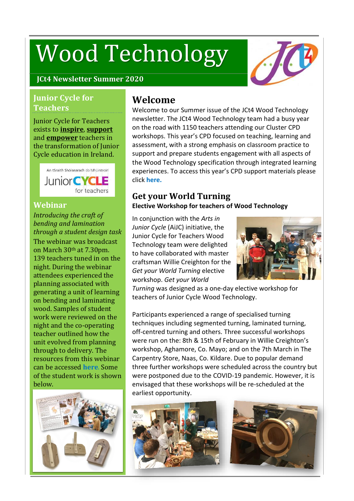# Wood Technology



## **Junior Cycle for Teachers**

Junior Cycle for Teachers exists to **inspire**, **support** and **empower** teachers in the transformation of Junior Cycle education in Ireland.



## **Webinar**

*Introducing the craft of bending and lamination through a student design task*

The webinar was broadcast on March 30th at 7.30pm. 139 teachers tuned in on the night. During the webinar attendees experienced the planning associated with generating a unit of learning on bending and laminating wood. Samples of student work were reviewed on the night and the co-operating teacher outlined how the unit evolved from planning through to delivery. The resources from this webinar can be accessed **[here](https://www.jct.ie/technologies/cpd_supports_wood_technology_elective_workshops)**. Some of the student work is shown below.



## **Welcome**

Welcome to our Summer issue of the JCt4 Wood Technology newsletter. The JCt4 Wood Technology team had a busy year on the road with 1150 teachers attending our Cluster CPD workshops. This year's CPD focused on teaching, learning and assessment, with a strong emphasis on classroom practice to support and prepare students engagement with all aspects of the Wood Technology specification through integrated learning experiences. To access this year's CPD support materials please click **[here.](https://www.jct.ie/technologies/cpd_supports_wood_technology_cpd_workshops_2019_2020)**

# **Get your World Turning**

#### **Elective Workshop for teachers of Wood Technology**

In conjunction with the *Arts in Junior Cycle* (AiJC) initiative, the Junior Cycle for Teachers Wood Technology team were delighted to have collaborated with master craftsman Willie Creighton for the *Get your World Turning* elective workshop. *Get your World*



*Turning* was designed as a one-day elective workshop for teachers of Junior Cycle Wood Technology.

Participants experienced a range of specialised turning techniques including segmented turning, laminated turning, off-centred turning and others. Three successful workshops were run on the: 8th & 15th of February in Willie Creighton's workshop, Aghamore, Co. Mayo; and on the 7th March in The Carpentry Store, Naas, Co. Kildare. Due to popular demand three further workshops were scheduled across the country but were postponed due to the COVID-19 pandemic. However, it is envisaged that these workshops will be re-scheduled at the earliest opportunity.